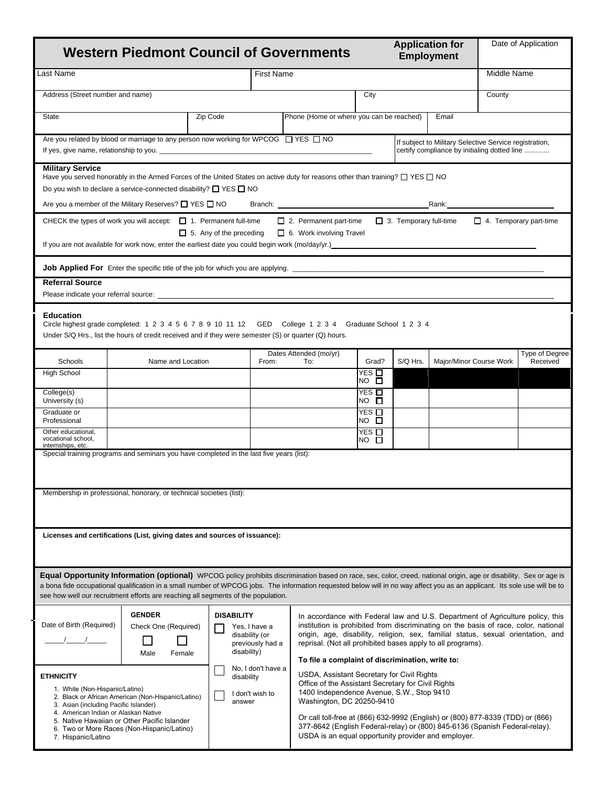|                                                                                                                                                                                                                                                                                                               | <b>Western Piedmont Council of Governments</b>                                                                                                                                                                                                                                                                                                                                                                                        |                                                    |                                                                                            |                                                                                                                                                                                                                                                                                                                                                                              |                                                                                                                                                                                                                                                                                                                                                                       |                               | <b>Application for</b><br><b>Employment</b> |                               | Date of Application        |  |
|---------------------------------------------------------------------------------------------------------------------------------------------------------------------------------------------------------------------------------------------------------------------------------------------------------------|---------------------------------------------------------------------------------------------------------------------------------------------------------------------------------------------------------------------------------------------------------------------------------------------------------------------------------------------------------------------------------------------------------------------------------------|----------------------------------------------------|--------------------------------------------------------------------------------------------|------------------------------------------------------------------------------------------------------------------------------------------------------------------------------------------------------------------------------------------------------------------------------------------------------------------------------------------------------------------------------|-----------------------------------------------------------------------------------------------------------------------------------------------------------------------------------------------------------------------------------------------------------------------------------------------------------------------------------------------------------------------|-------------------------------|---------------------------------------------|-------------------------------|----------------------------|--|
| Last Name                                                                                                                                                                                                                                                                                                     |                                                                                                                                                                                                                                                                                                                                                                                                                                       |                                                    | <b>First Name</b>                                                                          |                                                                                                                                                                                                                                                                                                                                                                              |                                                                                                                                                                                                                                                                                                                                                                       |                               |                                             | Middle Name                   |                            |  |
| Address (Street number and name)                                                                                                                                                                                                                                                                              |                                                                                                                                                                                                                                                                                                                                                                                                                                       |                                                    |                                                                                            |                                                                                                                                                                                                                                                                                                                                                                              | City                                                                                                                                                                                                                                                                                                                                                                  |                               |                                             | County                        |                            |  |
| State                                                                                                                                                                                                                                                                                                         |                                                                                                                                                                                                                                                                                                                                                                                                                                       | Zip Code                                           |                                                                                            | Phone (Home or where you can be reached)                                                                                                                                                                                                                                                                                                                                     |                                                                                                                                                                                                                                                                                                                                                                       |                               | Email                                       |                               |                            |  |
|                                                                                                                                                                                                                                                                                                               | Are you related by blood or marriage to any person now working for WPCOG $\Box$ YES $\Box$ NO<br>If yes, give name, relationship to you.                                                                                                                                                                                                                                                                                              |                                                    |                                                                                            | If subject to Military Selective Service registration,<br>certify compliance by initialing dotted line                                                                                                                                                                                                                                                                       |                                                                                                                                                                                                                                                                                                                                                                       |                               |                                             |                               |                            |  |
| <b>Military Service</b>                                                                                                                                                                                                                                                                                       | Have you served honorably in the Armed Forces of the United States on active duty for reasons other than training? $\Box$ YES $\Box$ NO<br>Do you wish to declare a service-connected disability? $\Box$ YES $\Box$ NO                                                                                                                                                                                                                |                                                    |                                                                                            |                                                                                                                                                                                                                                                                                                                                                                              |                                                                                                                                                                                                                                                                                                                                                                       |                               |                                             |                               |                            |  |
|                                                                                                                                                                                                                                                                                                               | Are you a member of the Military Reserves? $\square$ YES $\square$ NO                                                                                                                                                                                                                                                                                                                                                                 |                                                    |                                                                                            |                                                                                                                                                                                                                                                                                                                                                                              |                                                                                                                                                                                                                                                                                                                                                                       |                               | Rank:                                       |                               |                            |  |
|                                                                                                                                                                                                                                                                                                               | CHECK the types of work you will accept: $\Box$ 1. Permanent full-time<br>If you are not available for work now, enter the earliest date you could begin work (mo/day/yr.) entertainment                                                                                                                                                                                                                                              | $\Box$ 5. Any of the preceding                     |                                                                                            | $\Box$ 2. Permanent part-time<br>$\Box$ 6. Work involving Travel                                                                                                                                                                                                                                                                                                             |                                                                                                                                                                                                                                                                                                                                                                       | $\Box$ 3. Temporary full-time |                                             | $\Box$ 4. Temporary part-time |                            |  |
| <b>Job Applied For</b> Enter the specific title of the job for which you are applying.                                                                                                                                                                                                                        |                                                                                                                                                                                                                                                                                                                                                                                                                                       |                                                    |                                                                                            |                                                                                                                                                                                                                                                                                                                                                                              |                                                                                                                                                                                                                                                                                                                                                                       |                               |                                             |                               |                            |  |
| <b>Referral Source</b>                                                                                                                                                                                                                                                                                        |                                                                                                                                                                                                                                                                                                                                                                                                                                       |                                                    |                                                                                            |                                                                                                                                                                                                                                                                                                                                                                              |                                                                                                                                                                                                                                                                                                                                                                       |                               |                                             |                               |                            |  |
|                                                                                                                                                                                                                                                                                                               |                                                                                                                                                                                                                                                                                                                                                                                                                                       |                                                    |                                                                                            |                                                                                                                                                                                                                                                                                                                                                                              |                                                                                                                                                                                                                                                                                                                                                                       |                               |                                             |                               |                            |  |
| <b>Education</b><br>Circle highest grade completed: 1 2 3 4 5 6 7 8 9 10 11 12 GED College 1 2 3 4 Graduate School 1 2 3 4<br>Under S/Q Hrs., list the hours of credit received and if they were semester (S) or quarter (Q) hours.                                                                           |                                                                                                                                                                                                                                                                                                                                                                                                                                       |                                                    |                                                                                            |                                                                                                                                                                                                                                                                                                                                                                              |                                                                                                                                                                                                                                                                                                                                                                       |                               |                                             |                               |                            |  |
| Schools                                                                                                                                                                                                                                                                                                       | Name and Location                                                                                                                                                                                                                                                                                                                                                                                                                     |                                                    | From:                                                                                      | Dates Attended (mo/yr)<br>To:                                                                                                                                                                                                                                                                                                                                                | Grad?                                                                                                                                                                                                                                                                                                                                                                 | S/Q Hrs.                      | Major/Minor Course Work                     |                               | Type of Degree<br>Received |  |
| <b>High School</b>                                                                                                                                                                                                                                                                                            |                                                                                                                                                                                                                                                                                                                                                                                                                                       |                                                    |                                                                                            |                                                                                                                                                                                                                                                                                                                                                                              | YES □<br>$NO$ $\square$                                                                                                                                                                                                                                                                                                                                               |                               |                                             |                               |                            |  |
| College(s)<br>University (s)                                                                                                                                                                                                                                                                                  |                                                                                                                                                                                                                                                                                                                                                                                                                                       |                                                    |                                                                                            |                                                                                                                                                                                                                                                                                                                                                                              | YES □<br>$NO$ $\square$                                                                                                                                                                                                                                                                                                                                               |                               |                                             |                               |                            |  |
| Graduate or<br>Professional                                                                                                                                                                                                                                                                                   |                                                                                                                                                                                                                                                                                                                                                                                                                                       |                                                    |                                                                                            |                                                                                                                                                                                                                                                                                                                                                                              | YES □<br>NO □                                                                                                                                                                                                                                                                                                                                                         |                               |                                             |                               |                            |  |
| Other educational,<br>vocational school.<br>internships, etc.                                                                                                                                                                                                                                                 |                                                                                                                                                                                                                                                                                                                                                                                                                                       |                                                    |                                                                                            |                                                                                                                                                                                                                                                                                                                                                                              | YES<br>$NO$ $\overline{\Box}$                                                                                                                                                                                                                                                                                                                                         |                               |                                             |                               |                            |  |
|                                                                                                                                                                                                                                                                                                               | Special training programs and seminars you have completed in the last five years (list):                                                                                                                                                                                                                                                                                                                                              |                                                    |                                                                                            |                                                                                                                                                                                                                                                                                                                                                                              |                                                                                                                                                                                                                                                                                                                                                                       |                               |                                             |                               |                            |  |
|                                                                                                                                                                                                                                                                                                               |                                                                                                                                                                                                                                                                                                                                                                                                                                       |                                                    |                                                                                            |                                                                                                                                                                                                                                                                                                                                                                              |                                                                                                                                                                                                                                                                                                                                                                       |                               |                                             |                               |                            |  |
|                                                                                                                                                                                                                                                                                                               | Membership in professional, honorary, or technical societies (list):                                                                                                                                                                                                                                                                                                                                                                  |                                                    |                                                                                            |                                                                                                                                                                                                                                                                                                                                                                              |                                                                                                                                                                                                                                                                                                                                                                       |                               |                                             |                               |                            |  |
|                                                                                                                                                                                                                                                                                                               |                                                                                                                                                                                                                                                                                                                                                                                                                                       |                                                    |                                                                                            |                                                                                                                                                                                                                                                                                                                                                                              |                                                                                                                                                                                                                                                                                                                                                                       |                               |                                             |                               |                            |  |
| Licenses and certifications (List, giving dates and sources of issuance):                                                                                                                                                                                                                                     |                                                                                                                                                                                                                                                                                                                                                                                                                                       |                                                    |                                                                                            |                                                                                                                                                                                                                                                                                                                                                                              |                                                                                                                                                                                                                                                                                                                                                                       |                               |                                             |                               |                            |  |
|                                                                                                                                                                                                                                                                                                               | Equal Opportunity Information (optional) WPCOG policy prohibits discrimination based on race, sex, color, creed, national origin, age or disability. Sex or age is<br>a bona fide occupational qualification in a small number of WPCOG jobs. The information requested below will in no way affect you as an applicant. Its sole use will be to<br>see how well our recruitment efforts are reaching all segments of the population. |                                                    |                                                                                            |                                                                                                                                                                                                                                                                                                                                                                              |                                                                                                                                                                                                                                                                                                                                                                       |                               |                                             |                               |                            |  |
| <b>GENDER</b><br>Date of Birth (Required)<br>Check One (Required)<br>Male<br>Female                                                                                                                                                                                                                           |                                                                                                                                                                                                                                                                                                                                                                                                                                       | <b>DISABILITY</b><br>disability (or<br>disability) | Yes, I have a<br>previously had a                                                          | In accordance with Federal law and U.S. Department of Agriculture policy, this<br>institution is prohibited from discriminating on the basis of race, color, national<br>origin, age, disability, religion, sex, familial status, sexual orientation, and<br>reprisal. (Not all prohibited bases apply to all programs).<br>To file a complaint of discrimination, write to: |                                                                                                                                                                                                                                                                                                                                                                       |                               |                                             |                               |                            |  |
| <b>ETHNICITY</b><br>1. White (Non-Hispanic/Latino)<br>2. Black or African American (Non-Hispanic/Latino)<br>3. Asian (including Pacific Islander)<br>4. American Indian or Alaskan Native<br>5. Native Hawaiian or Other Pacific Islander<br>6. Two or More Races (Non-Hispanic/Latino)<br>7. Hispanic/Latino |                                                                                                                                                                                                                                                                                                                                                                                                                                       |                                                    | No, I don't have a<br>disability<br>I don't wish to<br>Washington, DC 20250-9410<br>answer |                                                                                                                                                                                                                                                                                                                                                                              | USDA, Assistant Secretary for Civil Rights<br>Office of the Assistant Secretary for Civil Rights<br>1400 Independence Avenue, S.W., Stop 9410<br>Or call toll-free at (866) 632-9992 (English) or (800) 877-8339 (TDD) or (866)<br>377-8642 (English Federal-relay) or (800) 845-6136 (Spanish Federal-relay).<br>USDA is an equal opportunity provider and employer. |                               |                                             |                               |                            |  |